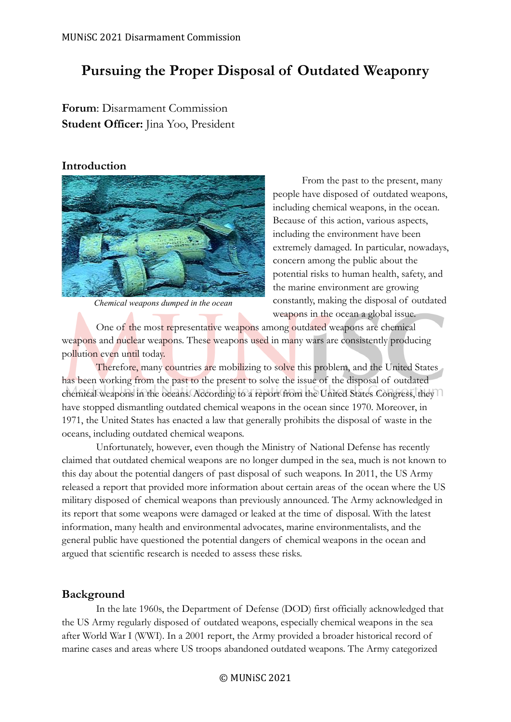# **Pursuing the Proper Disposal of Outdated Weaponry**

## **Forum**: Disarmament Commission **Student Officer:** Jina Yoo, President

#### **Introduction**



*Chemical weapons dumped in the ocean*

From the past to the present, many people have disposed of outdated weapons, including chemical weapons, in the ocean. Because of this action, various aspects, including the environment have been extremely damaged. In particular, nowadays, concern among the public about the potential risks to human health, safety, and the marine environment are growing constantly, making the disposal of outdated weapons in the ocean a global issue.

One of the most representative weapons among outdated weapons are chemical weapons and nuclear weapons. These weapons used in many wars are consistently producing pollution even until today.

Therefore, many countries are mobilizing to solve this problem, and the United States has been working from the past to the present to solve the issue of the disposal of outdated chemical weapons in the oceans. According to a report from the United States Congress, they have stopped dismantling outdated chemical weapons in the ocean since 1970. Moreover, in 1971, the United States has enacted a law that generally prohibits the disposal of waste in the oceans, including outdated chemical weapons.

Unfortunately, however, even though the Ministry of National Defense has recently claimed that outdated chemical weapons are no longer dumped in the sea, much is not known to this day about the potential dangers of past disposal of such weapons. In 2011, the US Army released a report that provided more information about certain areas of the ocean where the US military disposed of chemical weapons than previously announced. The Army acknowledged in its report that some weapons were damaged or leaked at the time of disposal. With the latest information, many health and environmental advocates, marine environmentalists, and the general public have questioned the potential dangers of chemical weapons in the ocean and argued that scientific research is needed to assess these risks.

### **Background**

In the late 1960s, the Department of Defense (DOD) first officially acknowledged that the US Army regularly disposed of outdated weapons, especially chemical weapons in the sea after World War I (WWI). In a 2001 report, the Army provided a broader historical record of marine cases and areas where US troops abandoned outdated weapons. The Army categorized

© MUNiSC 2021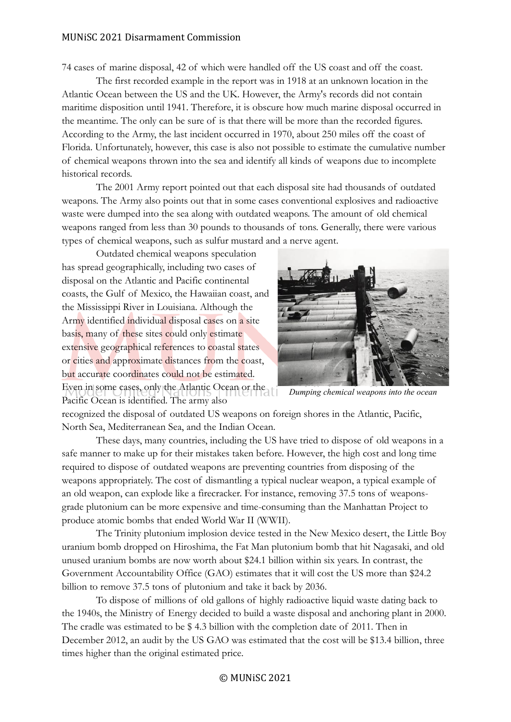#### MUNiSC 2021 Disarmament Commission

74 cases of marine disposal, 42 of which were handled off the US coast and off the coast.

The first recorded example in the report was in 1918 at an unknown location in the Atlantic Ocean between the US and the UK. However, the Army's records did not contain maritime disposition until 1941. Therefore, it is obscure how much marine disposal occurred in the meantime. The only can be sure of is that there will be more than the recorded figures. According to the Army, the last incident occurred in 1970, about 250 miles off the coast of Florida. Unfortunately, however, this case is also not possible to estimate the cumulative number of chemical weapons thrown into the sea and identify all kinds of weapons due to incomplete historical records.

The 2001 Army report pointed out that each disposal site had thousands of outdated weapons. The Army also points out that in some cases conventional explosives and radioactive waste were dumped into the sea along with outdated weapons. The amount of old chemical weapons ranged from less than 30 pounds to thousands of tons. Generally, there were various types of chemical weapons, such as sulfur mustard and a nerve agent.

Outdated chemical weapons speculation has spread geographically, including two cases of disposal on the Atlantic and Pacific continental coasts, the Gulf of Mexico, the Hawaiian coast, and the Mississippi River in Louisiana. Although the Army identified individual disposal cases on a site basis, many of these sites could only estimate extensive geographical references to coastal states or cities and approximate distances from the coast, but accurate coordinates could not be estimated. Even in some cases, only the Atlantic Ocean or the Pacific Ocean is identified. The army also



*Dumping chemical weapons into the ocean*

recognized the disposal of outdated US weapons on foreign shores in the Atlantic, Pacific, North Sea, Mediterranean Sea, and the Indian Ocean.

These days, many countries, including the US have tried to dispose of old weapons in a safe manner to make up for their mistakes taken before. However, the high cost and long time required to dispose of outdated weapons are preventing countries from disposing of the weapons appropriately. The cost of dismantling a typical nuclear weapon, a typical example of an old weapon, can explode like a firecracker. For instance, removing 37.5 tons of weaponsgrade plutonium can be more expensive and time-consuming than the Manhattan Project to produce atomic bombs that ended World War II (WWII).

The Trinity plutonium implosion device tested in the New Mexico desert, the Little Boy uranium bomb dropped on Hiroshima, the Fat Man plutonium bomb that hit Nagasaki, and old unused uranium bombs are now worth about \$24.1 billion within six years. In contrast, the Government Accountability Office (GAO) estimates that it will cost the US more than \$24.2 billion to remove 37.5 tons of plutonium and take it back by 2036.

To dispose of millions of old gallons of highly radioactive liquid waste dating back to the 1940s, the Ministry of Energy decided to build a waste disposal and anchoring plant in 2000. The cradle was estimated to be \$ 4.3 billion with the completion date of 2011. Then in December 2012, an audit by the US GAO was estimated that the cost will be \$13.4 billion, three times higher than the original estimated price.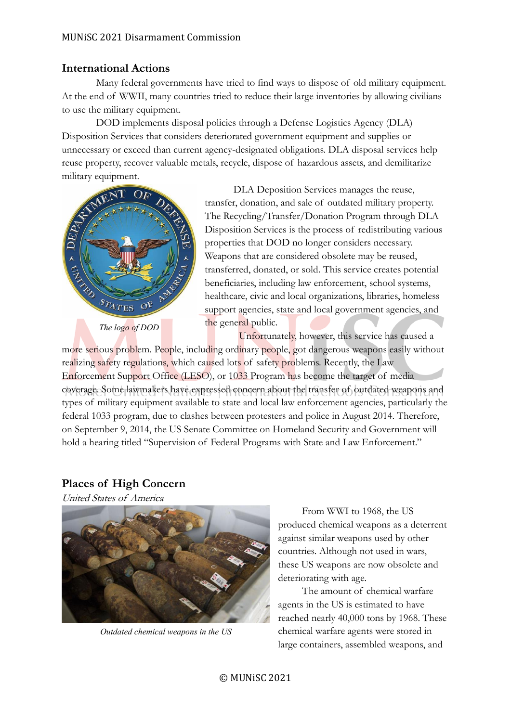### **International Actions**

Many federal governments have tried to find ways to dispose of old military equipment. At the end of WWII, many countries tried to reduce their large inventories by allowing civilians to use the military equipment.

DOD implements disposal policies through a Defense Logistics Agency (DLA) Disposition Services that considers deteriorated government equipment and supplies or unnecessary or exceed than current agency-designated obligations. DLA disposal services help reuse property, recover valuable metals, recycle, dispose of hazardous assets, and demilitarize military equipment.



DLA Deposition Services manages the reuse, transfer, donation, and sale of outdated military property. The Recycling/Transfer/Donation Program through DLA Disposition Services is the process of redistributing various properties that DOD no longer considers necessary. Weapons that are considered obsolete may be reused, transferred, donated, or sold. This service creates potential beneficiaries, including law enforcement, school systems, healthcare, civic and local organizations, libraries, homeless support agencies, state and local government agencies, and the general public.

Unfortunately, however, this service has caused a

more serious problem. People, including ordinary people, got dangerous weapons easily without realizing safety regulations, which caused lots of safety problems. Recently, the Law Enforcement Support Office (LESO), or 1033 Program has become the target of media coverage. Some lawmakers have expressed concern about the transfer of outdated weapons and types of military equipment available to state and local law enforcement agencies, particularly the federal 1033 program, due to clashes between protesters and police in August 2014. Therefore, on September 9, 2014, the US Senate Committee on Homeland Security and Government will hold a hearing titled "Supervision of Federal Programs with State and Law Enforcement."

### **Places of High Concern**

United States of America



*Outdated chemical weapons in the US*

From WWI to 1968, the US produced chemical weapons as a deterrent against similar weapons used by other countries. Although not used in wars, these US weapons are now obsolete and deteriorating with age.

The amount of chemical warfare agents in the US is estimated to have reached nearly 40,000 tons by 1968. These chemical warfare agents were stored in large containers, assembled weapons, and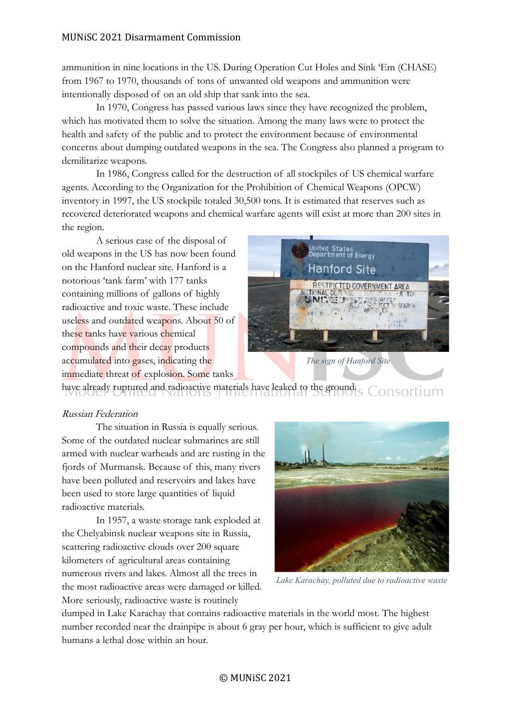#### MUNiSC 2021 Disarmament Commission

ammunition in nine locations in the US. During Operation Cut Holes and Sink 'Em (CHASE) from 1967 to 1970, thousands of tons of unwanted old weapons and ammunition were intentionally disposed of on an old ship that sank into the sea.

In 1970, Congress has passed various laws since they have recognized the problem, which has motivated them to solve the situation. Among the many laws were to protect the health and safety of the public and to protect the environment because of environmental concerns about dumping outdated weapons in the sea. The Congress also planned a program to demilitarize weapons.

In 1986, Congress called for the destruction of all stockpiles of US chemical warfare agents. According to the Organization for the Prohibition of Chemical Weapons (OPCW) inventory in 1997, the US stockpile totaled 30,500 tons. It is estimated that reserves such as recovered deteriorated weapons and chemical warfare agents will exist at more than 200 sites in the region.

A serious case of the disposal of old weapons in the US has now been found on the Hanford nuclear site. Hanford is a notorious 'tank farm' with 177 tanks containing millions of gallons of highly radioactive and toxic waste. These include useless and outdated weapons. About 50 of these tanks have various chemical compounds and their decay products accumulated into gases, indicating the immediate threat of explosion. Some tanks



*The sign of Hanford Site*

have already ruptured and radioactive materials have leaked to the ground. onsortium

#### Russian Federation

The situation in Russia is equally serious. Some of the outdated nuclear submarines are still armed with nuclear warheads and are rusting in the fjords of Murmansk. Because of this, many rivers have been polluted and reservoirs and lakes have been used to store large quantities of liquid radioactive materials.

In 1957, a waste storage tank exploded at the Chelyabinsk nuclear weapons site in Russia, scattering radioactive clouds over 200 square kilometers of agricultural areas containing numerous rivers and lakes. Almost all the trees in the most radioactive areas were damaged or killed. More seriously, radioactive waste is routinely



*Lake Karachay, polluted due to radioactive waste*

dumped in Lake Karachay that contains radioactive materials in the world most. The highest number recorded near the drainpipe is about 6 gray per hour, which is sufficient to give adult humans a lethal dose within an hour.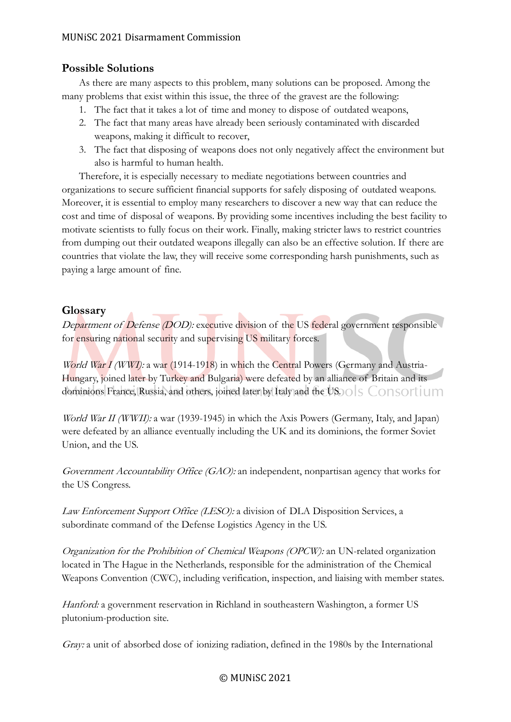### **Possible Solutions**

As there are many aspects to this problem, many solutions can be proposed. Among the many problems that exist within this issue, the three of the gravest are the following:

- 1. The fact that it takes a lot of time and money to dispose of outdated weapons,
- 2. The fact that many areas have already been seriously contaminated with discarded weapons, making it difficult to recover,
- 3. The fact that disposing of weapons does not only negatively affect the environment but also is harmful to human health.

Therefore, it is especially necessary to mediate negotiations between countries and organizations to secure sufficient financial supports for safely disposing of outdated weapons. Moreover, it is essential to employ many researchers to discover a new way that can reduce the cost and time of disposal of weapons. By providing some incentives including the best facility to motivate scientists to fully focus on their work. Finally, making stricter laws to restrict countries from dumping out their outdated weapons illegally can also be an effective solution. If there are countries that violate the law, they will receive some corresponding harsh punishments, such as paying a large amount of fine.

### **Glossary**

Department of Defense (DOD): executive division of the US federal government responsible for ensuring national security and supervising US military forces.

World War I (WWI): a war (1914-1918) in which the Central Powers (Germany and Austria-Hungary, joined later by Turkey and Bulgaria) were defeated by an alliance of Britain and its dominions France, Russia, and others, joined later by Italy and the US. O S CONSOLUM

World War II (WWII): a war (1939-1945) in which the Axis Powers (Germany, Italy, and Japan) were defeated by an alliance eventually including the UK and its dominions, the former Soviet Union, and the US.

Government Accountability Office (GAO): an independent, nonpartisan agency that works for the US Congress.

Law Enforcement Support Office (LESO): a division of DLA Disposition Services, a subordinate command of the Defense Logistics Agency in the US.

Organization for the Prohibition of Chemical Weapons (OPCW): an UN-related organization located in The Hague in the Netherlands, responsible for the administration of the Chemical Weapons Convention (CWC), including verification, inspection, and liaising with member states.

Hanford: a government reservation in Richland in southeastern Washington, a former US plutonium-production site.

Gray: a unit of absorbed dose of ionizing radiation, defined in the 1980s by the International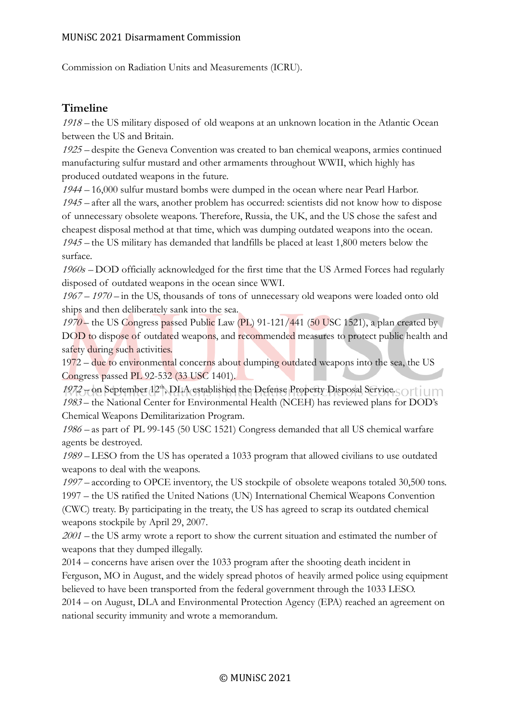Commission on Radiation Units and Measurements (ICRU).

### **Timeline**

<sup>1918</sup>– the US military disposed of old weapons at an unknown location in the Atlantic Ocean between the US and Britain.

<sup>1925</sup>– despite the Geneva Convention was created to ban chemical weapons, armies continued manufacturing sulfur mustard and other armaments throughout WWII, which highly has produced outdated weapons in the future.

<sup>1944</sup>– 16,000 sulfur mustard bombs were dumped in the ocean where near Pearl Harbor. <sup>1945</sup>– after all the wars, another problem has occurred: scientists did not know how to dispose of unnecessary obsolete weapons. Therefore, Russia, the UK, and the US chose the safest and cheapest disposal method at that time, which was dumping outdated weapons into the ocean. <sup>1945</sup>– the US military has demanded that landfills be placed at least 1,800 meters below the surface.

1960s – DOD officially acknowledged for the first time that the US Armed Forces had regularly disposed of outdated weapons in the ocean since WWI.

 $1967 - 1970$  – in the US, thousands of tons of unnecessary old weapons were loaded onto old ships and then deliberately sank into the sea.

1970 – the US Congress passed Public Law (PL) 91-121/441 (50 USC 1521), a plan created by DOD to dispose of outdated weapons, and recommended measures to protect public health and safety during such activities.

1972 – due to environmental concerns about dumping outdated weapons into the sea, the US Congress passed PL 92-532 (33 USC 1401).

 $1972$  – on September  $12<sup>th</sup>$ , DLA established the Defense Property Disposal Service. <sup>1983</sup> – the National Center for Environmental Health (NCEH) has reviewed plans for DOD's Chemical Weapons Demilitarization Program.

<sup>1986</sup>– as part of PL 99-145 (50 USC 1521) Congress demanded that all US chemical warfare agents be destroyed.

<sup>1989</sup>– LESO from the US has operated a 1033 program that allowed civilians to use outdated weapons to deal with the weapons.

<sup>1997</sup>– according to OPCE inventory, the US stockpile of obsolete weapons totaled 30,500 tons. 1997 – the US ratified the United Nations (UN) International Chemical Weapons Convention (CWC) treaty. By participating in the treaty, the US has agreed to scrap its outdated chemical weapons stockpile by April 29, 2007.

<sup>2001</sup>– the US army wrote a report to show the current situation and estimated the number of weapons that they dumped illegally.

2014 – concerns have arisen over the 1033 program after the shooting death incident in Ferguson, MO in August, and the widely spread photos of heavily armed police using equipment believed to have been transported from the federal government through the 1033 LESO. 2014 – on August, DLA and Environmental Protection Agency (EPA) reached an agreement on national security immunity and wrote a memorandum.